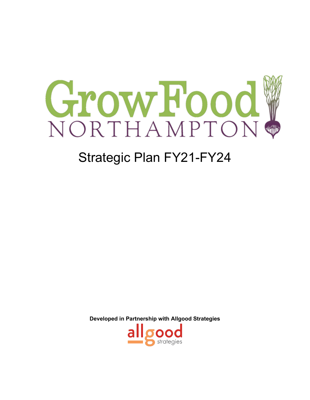

# Strategic Plan FY21-FY24

**Developed in Partnership with Allgood Strategies**

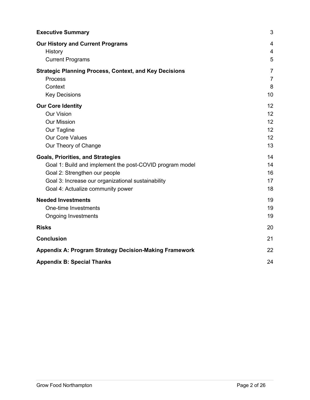| <b>Executive Summary</b>                                      | 3              |
|---------------------------------------------------------------|----------------|
| <b>Our History and Current Programs</b>                       | $\overline{4}$ |
| History                                                       | 4              |
| <b>Current Programs</b>                                       | 5              |
| <b>Strategic Planning Process, Context, and Key Decisions</b> | $\overline{7}$ |
| <b>Process</b>                                                | $\overline{7}$ |
| Context                                                       | 8              |
| <b>Key Decisions</b>                                          | 10             |
| <b>Our Core Identity</b>                                      | 12             |
| <b>Our Vision</b>                                             | 12             |
| <b>Our Mission</b>                                            | 12             |
| Our Tagline                                                   | 12             |
| <b>Our Core Values</b>                                        | 12             |
| Our Theory of Change                                          | 13             |
| <b>Goals, Priorities, and Strategies</b>                      | 14             |
| Goal 1: Build and implement the post-COVID program model      | 14             |
| Goal 2: Strengthen our people                                 | 16             |
| Goal 3: Increase our organizational sustainability            | 17             |
| Goal 4: Actualize community power                             | 18             |
| <b>Needed Investments</b>                                     | 19             |
| One-time Investments                                          | 19             |
| <b>Ongoing Investments</b>                                    | 19             |
| <b>Risks</b>                                                  | 20             |
| <b>Conclusion</b>                                             | 21             |
| <b>Appendix A: Program Strategy Decision-Making Framework</b> | 22             |
| <b>Appendix B: Special Thanks</b>                             | 24             |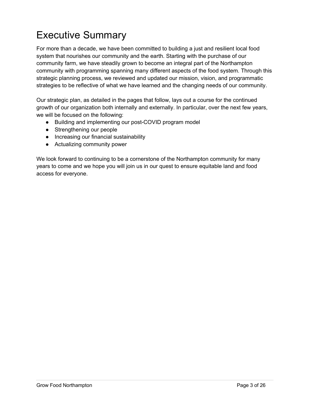## Executive Summary

For more than a decade, we have been committed to building a just and resilient local food system that nourishes our community and the earth. Starting with the purchase of our community farm, we have steadily grown to become an integral part of the Northampton community with programming spanning many different aspects of the food system. Through this strategic planning process, we reviewed and updated our mission, vision, and programmatic strategies to be reflective of what we have learned and the changing needs of our community.

Our strategic plan, as detailed in the pages that follow, lays out a course for the continued growth of our organization both internally and externally. In particular, over the next few years, we will be focused on the following:

- Building and implementing our post-COVID program model
- Strengthening our people
- Increasing our financial sustainability
- Actualizing community power

We look forward to continuing to be a cornerstone of the Northampton community for many years to come and we hope you will join us in our quest to ensure equitable land and food access for everyone.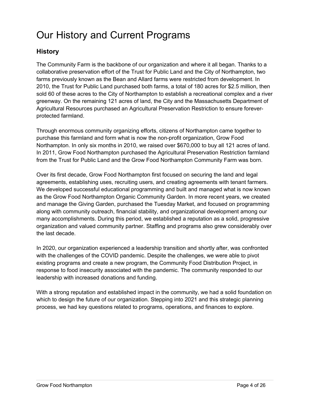## Our History and Current Programs

## **History**

The Community Farm is the backbone of our organization and where it all began. Thanks to a collaborative preservation effort of the Trust for Public Land and the City of Northampton, two farms previously known as the Bean and Allard farms were restricted from development. In 2010, the Trust for Public Land purchased both farms, a total of 180 acres for \$2.5 million, then sold 60 of these acres to the City of Northampton to establish a recreational complex and a river greenway. On the remaining 121 acres of land, the City and the Massachusetts Department of Agricultural Resources purchased an Agricultural Preservation Restriction to ensure foreverprotected farmland.

Through enormous community organizing efforts, citizens of Northampton came together to purchase this farmland and form what is now the non-profit organization, Grow Food Northampton. In only six months in 2010, we raised over \$670,000 to buy all 121 acres of land. In 2011, Grow Food Northampton purchased the Agricultural Preservation Restriction farmland from the Trust for Public Land and the Grow Food Northampton Community Farm was born.

Over its first decade, Grow Food Northampton first focused on securing the land and legal agreements, establishing uses, recruiting users, and creating agreements with tenant farmers. We developed successful educational programming and built and managed what is now known as the Grow Food Northampton Organic Community Garden. In more recent years, we created and manage the Giving Garden, purchased the Tuesday Market, and focused on programming along with community outreach, financial stability, and organizational development among our many accomplishments. During this period, we established a reputation as a solid, progressive organization and valued community partner. Staffing and programs also grew considerably over the last decade.

In 2020, our organization experienced a leadership transition and shortly after, was confronted with the challenges of the COVID pandemic. Despite the challenges, we were able to pivot existing programs and create a new program, the Community Food Distribution Project, in response to food insecurity associated with the pandemic. The community responded to our leadership with increased donations and funding.

With a strong reputation and established impact in the community, we had a solid foundation on which to design the future of our organization. Stepping into 2021 and this strategic planning process, we had key questions related to programs, operations, and finances to explore.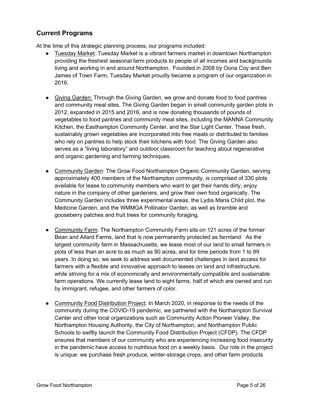## **Current Programs**

At the time of this strategic planning process, our programs included:

- Tuesday Market: Tuesday Market is a vibrant farmers market in downtown Northampton providing the freshest seasonal farm products to people of all incomes and backgrounds living and working in and around Northampton. Founded in 2008 by Oona Coy and Ben James of Town Farm, Tuesday Market proudly became a program of our organization in 2016.
- Giving Garden: Through the Giving Garden, we grow and donate food to food pantries and community meal sites. The Giving Garden began in small community garden plots in 2012, expanded in 2015 and 2016, and is now donating thousands of pounds of vegetables to food pantries and community meal sites, including the MANNA Community Kitchen, the Easthampton Community Center, and the Star Light Center. These fresh, sustainably grown vegetables are incorporated into free meals or distributed to families who rely on pantries to help stock their kitchens with food. The Giving Garden also serves as a "living laboratory" and outdoor classroom for teaching about regenerative and organic gardening and farming techniques.
- Community Garden: The Grow Food Northampton Organic Community Garden, serving approximately 400 members of the Northampton community, is comprised of 330 plots available for lease to community members who want to get their hands dirty, enjoy nature in the company of other gardeners, and grow their own food organically. The Community Garden includes three experimental areas, the Lydia Maria Child plot, the Medicine Garden, and the WMMGA Pollinator Garden, as well as bramble and gooseberry patches and fruit trees for community foraging.
- Community Farm: The Northampton Community Farm sits on 121 acres of the former Bean and Allard Farms, land that is now permanently protected as farmland. As the largest community farm in Massachusetts, we lease most of our land to small farmers in plots of less than an acre to as much as 90 acres, and for time periods from 1 to 99 years. In doing so, we seek to address well documented challenges in land access for farmers with a flexible and innovative approach to leases on land and infrastructure, while striving for a mix of economically and environmentally compatible and sustainable farm operations. We currently lease land to eight farms, half of which are owned and run by immigrant, refugee, and other farmers of color.
- Community Food Distribution Project: In March 2020, in response to the needs of the community during the COVID-19 pandemic, we partnered with the Northampton Survival Center and other local organizations such as Community Action Pioneer Valley, the Northampton Housing Authority, the City of Northampton, and Northampton Public Schools to swiftly launch the Community Food Distribution Project (CFDP). The CFDP ensures that members of our community who are experiencing increasing food insecurity in the pandemic have access to nutritious food on a weekly basis. Our role in the project is unique: we purchase fresh produce, winter-storage crops, and other farm products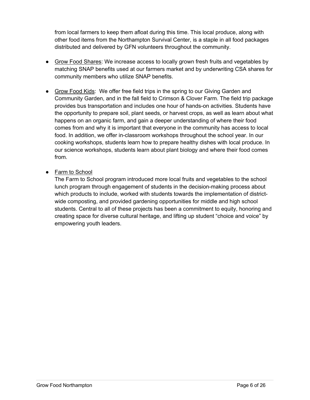from local farmers to keep them afloat during this time. This local produce, along with other food items from the Northampton Survival Center, is a staple in all food packages distributed and delivered by GFN volunteers throughout the community.

- Grow Food Shares: We increase access to locally grown fresh fruits and vegetables by matching SNAP benefits used at our farmers market and by underwriting CSA shares for community members who utilize SNAP benefits.
- Grow Food Kids: We offer free field trips in the spring to our Giving Garden and Community Garden, and in the fall field to Crimson & Clover Farm. The field trip package provides bus transportation and includes one hour of hands-on activities. Students have the opportunity to prepare soil, plant seeds, or harvest crops, as well as learn about what happens on an organic farm, and gain a deeper understanding of where their food comes from and why it is important that everyone in the community has access to local food. In addition, we offer in-classroom workshops throughout the school year. In our cooking workshops, students learn how to prepare healthy dishes with local produce. In our science workshops, students learn about plant biology and where their food comes from.
- Farm to School

The Farm to School program introduced more local fruits and vegetables to the school lunch program through engagement of students in the decision-making process about which products to include, worked with students towards the implementation of districtwide composting, and provided gardening opportunities for middle and high school students. Central to all of these projects has been a commitment to equity, honoring and creating space for diverse cultural heritage, and lifting up student "choice and voice" by empowering youth leaders.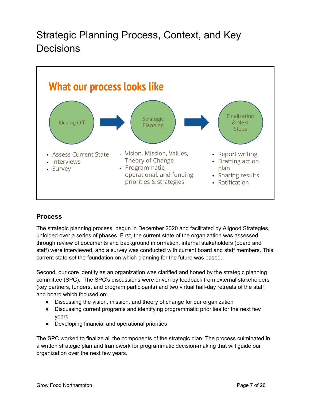## Strategic Planning Process, Context, and Key Decisions



## **Process**

The strategic planning process, begun in December 2020 and facilitated by Allgood Strategies, unfolded over a series of phases. First, the current state of the organization was assessed through review of documents and background information, internal stakeholders (board and staff) were interviewed, and a survey was conducted with current board and staff members. This current state set the foundation on which planning for the future was based.

Second, our core identity as an organization was clarified and honed by the strategic planning committee (SPC). The SPC's discussions were driven by feedback from external stakeholders (key partners, funders, and program participants) and two virtual half-day retreats of the staff and board which focused on:

- Discussing the vision, mission, and theory of change for our organization
- Discussing current programs and identifying programmatic priorities for the next few years
- Developing financial and operational priorities

The SPC worked to finalize all the components of the strategic plan. The process culminated in a written strategic plan and framework for programmatic decision-making that will guide our organization over the next few years.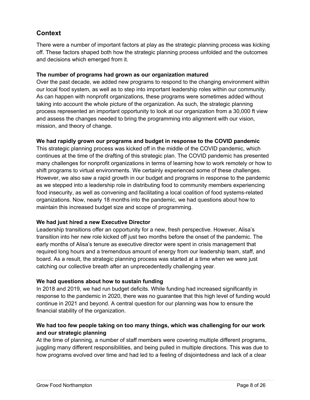## **Context**

There were a number of important factors at play as the strategic planning process was kicking off. These factors shaped both how the strategic planning process unfolded and the outcomes and decisions which emerged from it.

#### **The number of programs had grown as our organization matured**

Over the past decade, we added new programs to respond to the changing environment within our local food system, as well as to step into important leadership roles within our community. As can happen with nonprofit organizations, these programs were sometimes added without taking into account the whole picture of the organization. As such, the strategic planning process represented an important opportunity to look at our organization from a 30,000 ft view and assess the changes needed to bring the programming into alignment with our vision, mission, and theory of change.

#### **We had rapidly grown our programs and budget in response to the COVID pandemic**

This strategic planning process was kicked off in the middle of the COVID pandemic, which continues at the time of the drafting of this strategic plan. The COVID pandemic has presented many challenges for nonprofit organizations in terms of learning how to work remotely or how to shift programs to virtual environments. We certainly experienced some of these challenges. However, we also saw a rapid growth in our budget and programs in response to the pandemic as we stepped into a leadership role in distributing food to community members experiencing food insecurity, as well as convening and facilitating a local coalition of food systems-related organizations. Now, nearly 18 months into the pandemic, we had questions about how to maintain this increased budget size and scope of programming.

#### **We had just hired a new Executive Director**

Leadership transitions offer an opportunity for a new, fresh perspective. However, Alisa's transition into her new role kicked off just two months before the onset of the pandemic. The early months of Alisa's tenure as executive director were spent in crisis management that required long hours and a tremendous amount of energy from our leadership team, staff, and board. As a result, the strategic planning process was started at a time when we were just catching our collective breath after an unprecedentedly challenging year.

#### **We had questions about how to sustain funding**

In 2018 and 2019, we had run budget deficits. While funding had increased significantly in response to the pandemic in 2020, there was no guarantee that this high level of funding would continue in 2021 and beyond. A central question for our planning was how to ensure the financial stability of the organization.

#### **We had too few people taking on too many things, which was challenging for our work and our strategic planning**

At the time of planning, a number of staff members were covering multiple different programs, juggling many different responsibilities, and being pulled in multiple directions. This was due to how programs evolved over time and had led to a feeling of disjointedness and lack of a clear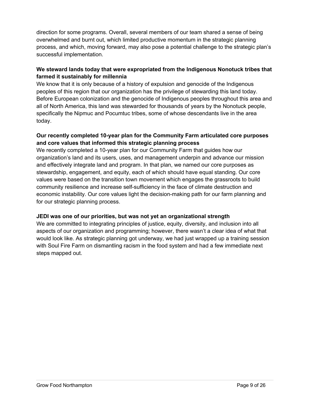direction for some programs. Overall, several members of our team shared a sense of being overwhelmed and burnt out, which limited productive momentum in the strategic planning process, and which, moving forward, may also pose a potential challenge to the strategic plan's successful implementation.

#### **We steward lands today that were expropriated from the Indigenous Nonotuck tribes that farmed it sustainably for millennia**

We know that it is only because of a history of expulsion and genocide of the Indigenous peoples of this region that our organization has the privilege of stewarding this land today. Before European colonization and the genocide of Indigenous peoples throughout this area and all of North America, this land was stewarded for thousands of years by the Nonotuck people, specifically the Nipmuc and Pocumtuc tribes, some of whose descendants live in the area today.

#### **Our recently completed 10-year plan for the Community Farm articulated core purposes and core values that informed this strategic planning process**

We recently completed a 10-year plan for our Community Farm that guides how our organization's land and its users, uses, and management underpin and advance our mission and effectively integrate land and program. In that plan, we named our core purposes as stewardship, engagement, and equity, each of which should have equal standing. Our core values were based on the transition town movement which engages the grassroots to build community resilience and increase self-sufficiency in the face of climate destruction and economic instability. Our core values light the decision-making path for our farm planning and for our strategic planning process.

#### **JEDI was one of our priorities, but was not yet an organizational strength**

We are committed to integrating principles of justice, equity, diversity, and inclusion into all aspects of our organization and programming; however, there wasn't a clear idea of what that would look like. As strategic planning got underway, we had just wrapped up a training session with Soul Fire Farm on dismantling racism in the food system and had a few immediate next steps mapped out.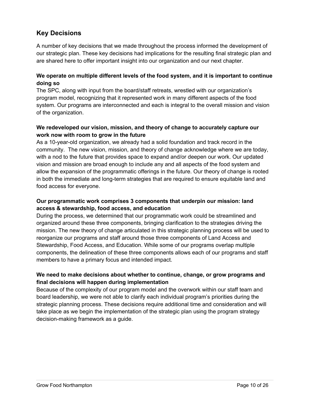## **Key Decisions**

A number of key decisions that we made throughout the process informed the development of our strategic plan. These key decisions had implications for the resulting final strategic plan and are shared here to offer important insight into our organization and our next chapter.

#### **We operate on multiple different levels of the food system, and it is important to continue doing so**

The SPC, along with input from the board/staff retreats, wrestled with our organization's program model, recognizing that it represented work in many different aspects of the food system. Our programs are interconnected and each is integral to the overall mission and vision of the organization.

#### **We redeveloped our vision, mission, and theory of change to accurately capture our work now with room to grow in the future**

As a 10-year-old organization, we already had a solid foundation and track record in the community. The new vision, mission, and theory of change acknowledge where we are today, with a nod to the future that provides space to expand and/or deepen our work. Our updated vision and mission are broad enough to include any and all aspects of the food system and allow the expansion of the programmatic offerings in the future. Our theory of change is rooted in both the immediate and long-term strategies that are required to ensure equitable land and food access for everyone.

#### **Our programmatic work comprises 3 components that underpin our mission: land access & stewardship, food access, and education**

During the process, we determined that our programmatic work could be streamlined and organized around these three components, bringing clarification to the strategies driving the mission. The new theory of change articulated in this strategic planning process will be used to reorganize our programs and staff around those three components of Land Access and Stewardship, Food Access, and Education. While some of our programs overlap multiple components, the delineation of these three components allows each of our programs and staff members to have a primary focus and intended impact.

#### **We need to make decisions about whether to continue, change, or grow programs and final decisions will happen during implementation**

Because of the complexity of our program model and the overwork within our staff team and board leadership, we were not able to clarify each individual program's priorities during the strategic planning process. These decisions require additional time and consideration and will take place as we begin the implementation of the strategic plan using the program strategy decision-making framework as a guide.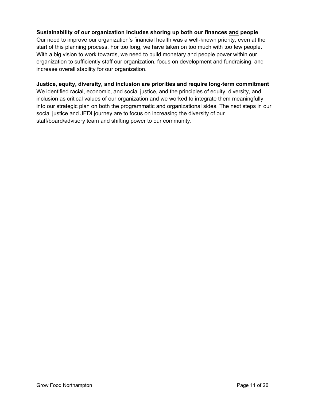#### **Sustainability of our organization includes shoring up both our finances and people**

Our need to improve our organization's financial health was a well-known priority, even at the start of this planning process. For too long, we have taken on too much with too few people. With a big vision to work towards, we need to build monetary and people power within our organization to sufficiently staff our organization, focus on development and fundraising, and increase overall stability for our organization.

#### **Justice, equity, diversity, and inclusion are priorities and require long-term commitment**

We identified racial, economic, and social justice, and the principles of equity, diversity, and inclusion as critical values of our organization and we worked to integrate them meaningfully into our strategic plan on both the programmatic and organizational sides. The next steps in our social justice and JEDI journey are to focus on increasing the diversity of our staff/board/advisory team and shifting power to our community.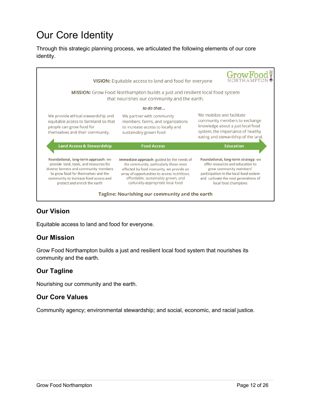## Our Core Identity

Through this strategic planning process, we articulated the following elements of our core identity.



## **Our Vision**

Equitable access to land and food for everyone.

## **Our Mission**

Grow Food Northampton builds a just and resilient local food system that nourishes its community and the earth.

## **Our Tagline**

Nourishing our community and the earth.

### **Our Core Values**

Community agency; environmental stewardship; and social, economic, and racial justice.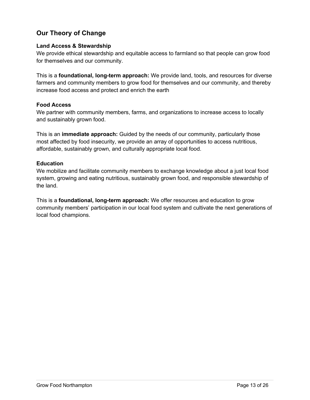## **Our Theory of Change**

#### **Land Access & Stewardship**

We provide ethical stewardship and equitable access to farmland so that people can grow food for themselves and our community.

This is a **foundational, long-term approach:** We provide land, tools, and resources for diverse farmers and community members to grow food for themselves and our community, and thereby increase food access and protect and enrich the earth

#### **Food Access**

We partner with community members, farms, and organizations to increase access to locally and sustainably grown food.

This is an **immediate approach:** Guided by the needs of our community, particularly those most affected by food insecurity, we provide an array of opportunities to access nutritious, affordable, sustainably grown, and culturally appropriate local food.

#### **Education**

We mobilize and facilitate community members to exchange knowledge about a just local food system, growing and eating nutritious, sustainably grown food, and responsible stewardship of the land.

This is a **foundational, long-term approach:** We offer resources and education to grow community members' participation in our local food system and cultivate the next generations of local food champions.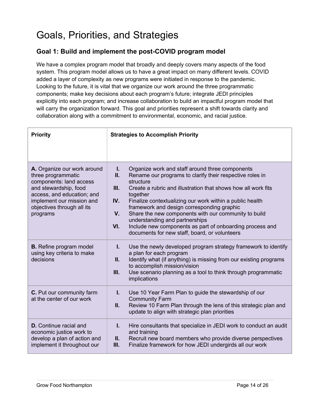## Goals, Priorities, and Strategies

## **Goal 1: Build and implement the post-COVID program model**

We have a complex program model that broadly and deeply covers many aspects of the food system. This program model allows us to have a great impact on many different levels. COVID added a layer of complexity as new programs were initiated in response to the pandemic. Looking to the future, it is vital that we organize our work around the three programmatic components; make key decisions about each program's future; integrate JEDI principles explicitly into each program; and increase collaboration to build an impactful program model that will carry the organization forward. This goal and priorities represent a shift towards clarity and collaboration along with a commitment to environmental, economic, and racial justice.

| <b>Priority</b>                                                                                                                                                                                            | <b>Strategies to Accomplish Priority</b>                                                                                                                                                                                                                                                                                                                                                                                                                                                                                                                                 |  |
|------------------------------------------------------------------------------------------------------------------------------------------------------------------------------------------------------------|--------------------------------------------------------------------------------------------------------------------------------------------------------------------------------------------------------------------------------------------------------------------------------------------------------------------------------------------------------------------------------------------------------------------------------------------------------------------------------------------------------------------------------------------------------------------------|--|
| A. Organize our work around<br>three programmatic<br>components: land access<br>and stewardship, food<br>access, and education; and<br>implement our mission and<br>objectives through all its<br>programs | $\mathbf{L}$<br>Organize work and staff around three components<br>П.<br>Rename our programs to clarify their respective roles in<br>structure<br>III.<br>Create a rubric and illustration that shows how all work fits<br>together<br>IV.<br>Finalize contextualizing our work within a public health<br>framework and design corresponding graphic<br>V.<br>Share the new components with our community to build<br>understanding and partnerships<br>VI.<br>Include new components as part of onboarding process and<br>documents for new staff, board, or volunteers |  |
| <b>B.</b> Refine program model<br>using key criteria to make<br>decisions                                                                                                                                  | $\mathbf{L}$<br>Use the newly developed program strategy framework to identify<br>a plan for each program<br>II.<br>Identify what (if anything) is missing from our existing programs<br>to accomplish mission/vision<br>III.<br>Use scenario planning as a tool to think through programmatic<br>implications                                                                                                                                                                                                                                                           |  |
| C. Put our community farm<br>at the center of our work                                                                                                                                                     | $\mathbf{L}$<br>Use 10 Year Farm Plan to guide the stewardship of our<br><b>Community Farm</b><br>II.<br>Review 10 Farm Plan through the lens of this strategic plan and<br>update to align with strategic plan priorities                                                                                                                                                                                                                                                                                                                                               |  |
| <b>D.</b> Continue racial and<br>economic justice work to<br>develop a plan of action and<br>implement it throughout our                                                                                   | $\mathbf{L}$<br>Hire consultants that specialize in JEDI work to conduct an audit<br>and training<br>II.<br>Recruit new board members who provide diverse perspectives<br>III.<br>Finalize framework for how JEDI undergirds all our work                                                                                                                                                                                                                                                                                                                                |  |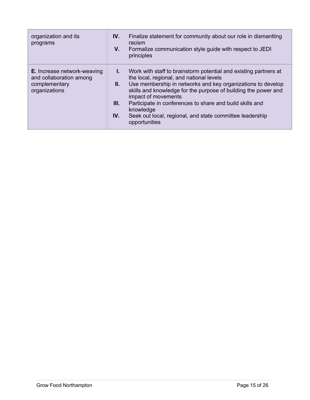| organization and its<br>programs                                                                | IV.<br>V.                  | Finalize statement for community about our role in dismantling<br>racism<br>Formalize communication style guide with respect to JEDI<br>principles                                                                                                                                                                                                                                                                         |
|-------------------------------------------------------------------------------------------------|----------------------------|----------------------------------------------------------------------------------------------------------------------------------------------------------------------------------------------------------------------------------------------------------------------------------------------------------------------------------------------------------------------------------------------------------------------------|
| <b>E.</b> Increase network-weaving<br>and collaboration among<br>complementary<br>organizations | L.<br>II. I<br>III.<br>IV. | Work with staff to brainstorm potential and existing partners at<br>the local, regional, and national levels<br>Use membership in networks and key organizations to develop<br>skills and knowledge for the purpose of building the power and<br>impact of movements<br>Participate in conferences to share and build skills and<br>knowledge<br>Seek out local, regional, and state committee leadership<br>opportunities |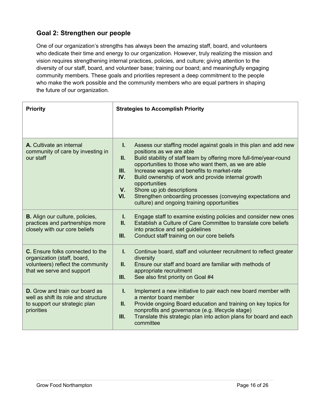## **Goal 2: Strengthen our people**

One of our organization's strengths has always been the amazing staff, board, and volunteers who dedicate their time and energy to our organization. However, truly realizing the mission and vision requires strengthening internal practices, policies, and culture; giving attention to the diversity of our staff, board, and volunteer base; training our board; and meaningfully engaging community members. These goals and priorities represent a deep commitment to the people who make the work possible and the community members who are equal partners in shaping the future of our organization.

| <b>Priority</b>                                                                                                                          | <b>Strategies to Accomplish Priority</b>                                                                                                                                                                                                                                                                                                                                                                                                                                                                                                       |  |
|------------------------------------------------------------------------------------------------------------------------------------------|------------------------------------------------------------------------------------------------------------------------------------------------------------------------------------------------------------------------------------------------------------------------------------------------------------------------------------------------------------------------------------------------------------------------------------------------------------------------------------------------------------------------------------------------|--|
|                                                                                                                                          |                                                                                                                                                                                                                                                                                                                                                                                                                                                                                                                                                |  |
| A. Cultivate an internal<br>community of care by investing in<br>our staff                                                               | Assess our staffing model against goals in this plan and add new<br>I.<br>positions as we are able<br>Build stability of staff team by offering more full-time/year-round<br>II.<br>opportunities to those who want them, as we are able<br>III.<br>Increase wages and benefits to market-rate<br>IV.<br>Build ownership of work and provide internal growth<br>opportunities<br>Shore up job descriptions<br>$V_{\cdot}$<br>VI.<br>Strengthen onboarding processes (conveying expectations and<br>culture) and ongoing training opportunities |  |
| <b>B.</b> Align our culture, policies,<br>practices and partnerships more<br>closely with our core beliefs                               | $\mathbf{I}$ .<br>Engage staff to examine existing policies and consider new ones<br>Ш.<br>Establish a Culture of Care Committee to translate core beliefs<br>into practice and set guidelines<br>III.<br>Conduct staff training on our core beliefs                                                                                                                                                                                                                                                                                           |  |
| <b>C.</b> Ensure folks connected to the<br>organization (staff, board,<br>volunteers) reflect the community<br>that we serve and support | L.<br>Continue board, staff and volunteer recruitment to reflect greater<br>diversity<br>Ensure our staff and board are familiar with methods of<br>II.<br>appropriate recruitment<br>III.<br>See also first priority on Goal #4                                                                                                                                                                                                                                                                                                               |  |
| <b>D.</b> Grow and train our board as<br>well as shift its role and structure<br>to support our strategic plan<br>priorities             | I.<br>Implement a new initiative to pair each new board member with<br>a mentor board member<br>Provide ongoing Board education and training on key topics for<br>II.<br>nonprofits and governance (e.g. lifecycle stage)<br>Translate this strategic plan into action plans for board and each<br>III.<br>committee                                                                                                                                                                                                                           |  |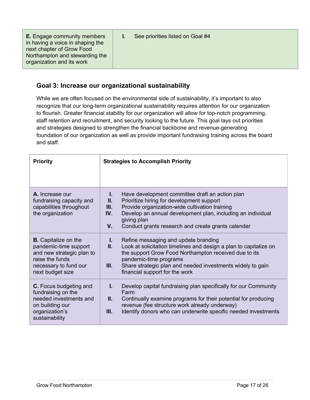**E.** Engage community members in having a voice in shaping the next chapter of Grow Food Northampton and stewarding the organization and its work

**I.** See priorities listed on Goal #4

## **Goal 3: Increase our organizational sustainability**

While we are often focused on the environmental side of sustainability, it's important to also recognize that our long-term organizational sustainability requires attention for our organization to flourish. Greater financial stability for our organization will allow for top-notch programming, staff retention and recruitment, and security looking to the future. This goal lays out priorities and strategies designed to strengthen the financial backbone and revenue-generating foundation of our organization as well as provide important fundraising training across the board and staff.

| <b>Priority</b>                                                                                                                                   | <b>Strategies to Accomplish Priority</b>                                                                                                                                                                                                                                                                                     |  |
|---------------------------------------------------------------------------------------------------------------------------------------------------|------------------------------------------------------------------------------------------------------------------------------------------------------------------------------------------------------------------------------------------------------------------------------------------------------------------------------|--|
| A. Increase our<br>fundraising capacity and<br>capabilities throughout<br>the organization                                                        | Have development committee draft an action plan<br>L.<br>П.<br>Prioritize hiring for development support<br>III.<br>Provide organization-wide cultivation training<br>Develop an annual development plan, including an individual<br>IV.<br>giving plan<br>$V_{\cdot}$<br>Conduct grants research and create grants calendar |  |
| <b>B.</b> Capitalize on the<br>pandemic-time support<br>and new strategic plan to<br>raise the funds<br>necessary to fund our<br>next budget size | L.<br>Refine messaging and update branding<br>II.<br>Look at solicitation timelines and design a plan to capitalize on<br>the support Grow Food Northampton received due to its<br>pandemic-time programs<br>III.<br>Share strategic plan and needed investments widely to gain<br>financial support for the work            |  |
| <b>C.</b> Focus budgeting and<br>fundraising on the<br>needed investments and<br>on building our<br>organization's<br>sustainability              | L.<br>Develop capital fundraising plan specifically for our Community<br>Farm<br>Ш.<br>Continually examine programs for their potential for producing<br>revenue (fee structure work already underway)<br>III.<br>Identify donors who can underwrite specific needed investments                                             |  |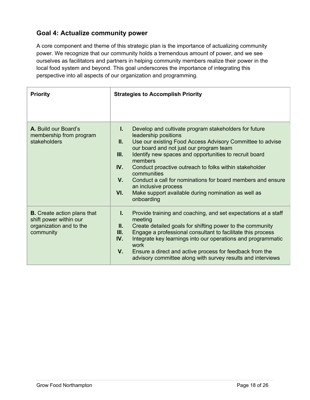## **Goal 4: Actualize community power**

A core component and theme of this strategic plan is the importance of actualizing community power. We recognize that our community holds a tremendous amount of power, and we see ourselves as facilitators and partners in helping community members realize their power in the local food system and beyond. This goal underscores the importance of integrating this perspective into all aspects of our organization and programming.

| <b>Priority</b>                                                                                      | <b>Strategies to Accomplish Priority</b>                                                                                                                                                                                                                                                                                                                                                                                                                                                                                                     |
|------------------------------------------------------------------------------------------------------|----------------------------------------------------------------------------------------------------------------------------------------------------------------------------------------------------------------------------------------------------------------------------------------------------------------------------------------------------------------------------------------------------------------------------------------------------------------------------------------------------------------------------------------------|
| A. Build our Board's<br>membership from program<br>stakeholders                                      | Develop and cultivate program stakeholders for future<br>Ι.<br>leadership positions<br>Use our existing Food Access Advisory Committee to advise<br>Ш.<br>our board and not just our program team<br>Identify new spaces and opportunities to recruit board<br>III.<br>members<br>IV.<br>Conduct proactive outreach to folks within stakeholder<br>communities<br>$V_{-}$<br>Conduct a call for nominations for board members and ensure<br>an inclusive process<br>Make support available during nomination as well as<br>VI.<br>onboarding |
| <b>B.</b> Create action plans that<br>shift power within our<br>organization and to the<br>community | $\mathbf{L}$<br>Provide training and coaching, and set expectations at a staff<br>meeting<br>Ш.<br>Create detailed goals for shifting power to the community<br>Engage a professional consultant to facilitate this process<br>Ш.<br>Integrate key learnings into our operations and programmatic<br>IV.<br>work<br>Ensure a direct and active process for feedback from the<br>V.<br>advisory committee along with survey results and interviews                                                                                            |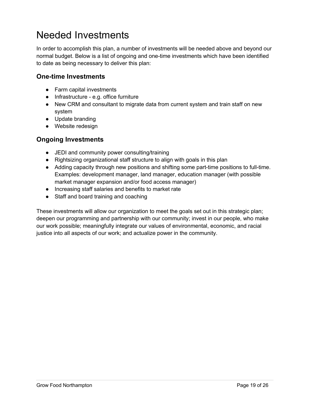## Needed Investments

In order to accomplish this plan, a number of investments will be needed above and beyond our normal budget. Below is a list of ongoing and one-time investments which have been identified to date as being necessary to deliver this plan:

### **One-time Investments**

- Farm capital investments
- Infrastructure e.g. office furniture
- New CRM and consultant to migrate data from current system and train staff on new system
- Update branding
- Website redesign

## **Ongoing Investments**

- JEDI and community power consulting/training
- Rightsizing organizational staff structure to align with goals in this plan
- Adding capacity through new positions and shifting some part-time positions to full-time. Examples: development manager, land manager, education manager (with possible market manager expansion and/or food access manager)
- Increasing staff salaries and benefits to market rate
- Staff and board training and coaching

These investments will allow our organization to meet the goals set out in this strategic plan; deepen our programming and partnership with our community; invest in our people, who make our work possible; meaningfully integrate our values of environmental, economic, and racial justice into all aspects of our work; and actualize power in the community.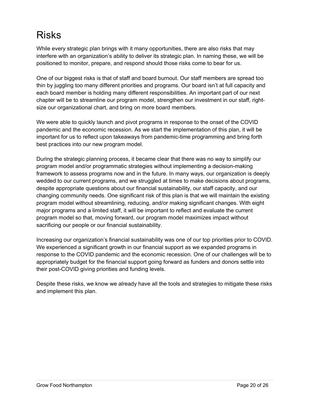## Risks

While every strategic plan brings with it many opportunities, there are also risks that may interfere with an organization's ability to deliver its strategic plan. In naming these, we will be positioned to monitor, prepare, and respond should those risks come to bear for us.

One of our biggest risks is that of staff and board burnout. Our staff members are spread too thin by juggling too many different priorities and programs. Our board isn't at full capacity and each board member is holding many different responsibilities. An important part of our next chapter will be to streamline our program model, strengthen our investment in our staff, rightsize our organizational chart, and bring on more board members.

We were able to quickly launch and pivot programs in response to the onset of the COVID pandemic and the economic recession. As we start the implementation of this plan, it will be important for us to reflect upon takeaways from pandemic-time programming and bring forth best practices into our new program model.

During the strategic planning process, it became clear that there was no way to simplify our program model and/or programmatic strategies without implementing a decision-making framework to assess programs now and in the future. In many ways, our organization is deeply wedded to our current programs, and we struggled at times to make decisions about programs, despite appropriate questions about our financial sustainability, our staff capacity, and our changing community needs. One significant risk of this plan is that we will maintain the existing program model without streamlining, reducing, and/or making significant changes. With eight major programs and a limited staff, it will be important to reflect and evaluate the current program model so that, moving forward, our program model maximizes impact without sacrificing our people or our financial sustainability.

Increasing our organization's financial sustainability was one of our top priorities prior to COVID. We experienced a significant growth in our financial support as we expanded programs in response to the COVID pandemic and the economic recession. One of our challenges will be to appropriately budget for the financial support going forward as funders and donors settle into their post-COVID giving priorities and funding levels.

Despite these risks, we know we already have all the tools and strategies to mitigate these risks and implement this plan.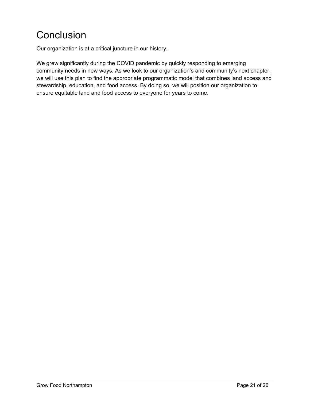## **Conclusion**

Our organization is at a critical juncture in our history.

We grew significantly during the COVID pandemic by quickly responding to emerging community needs in new ways. As we look to our organization's and community's next chapter, we will use this plan to find the appropriate programmatic model that combines land access and stewardship, education, and food access. By doing so, we will position our organization to ensure equitable land and food access to everyone for years to come.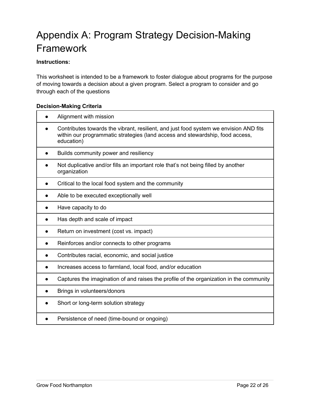## Appendix A: Program Strategy Decision-Making Framework

#### **Instructions:**

This worksheet is intended to be a framework to foster dialogue about programs for the purpose of moving towards a decision about a given program. Select a program to consider and go through each of the questions

#### **Decision-Making Criteria**

| Alignment with mission                                                                                                                                                               |
|--------------------------------------------------------------------------------------------------------------------------------------------------------------------------------------|
| Contributes towards the vibrant, resilient, and just food system we envision AND fits<br>within our programmatic strategies (land access and stewardship, food access,<br>education) |
| Builds community power and resiliency                                                                                                                                                |
| Not duplicative and/or fills an important role that's not being filled by another<br>organization                                                                                    |
| Critical to the local food system and the community                                                                                                                                  |
| Able to be executed exceptionally well                                                                                                                                               |
| Have capacity to do                                                                                                                                                                  |
| Has depth and scale of impact                                                                                                                                                        |
| Return on investment (cost vs. impact)                                                                                                                                               |
| Reinforces and/or connects to other programs                                                                                                                                         |
| Contributes racial, economic, and social justice                                                                                                                                     |
| Increases access to farmland, local food, and/or education                                                                                                                           |
| Captures the imagination of and raises the profile of the organization in the community                                                                                              |
| Brings in volunteers/donors                                                                                                                                                          |
| Short or long-term solution strategy                                                                                                                                                 |
| Persistence of need (time-bound or ongoing)                                                                                                                                          |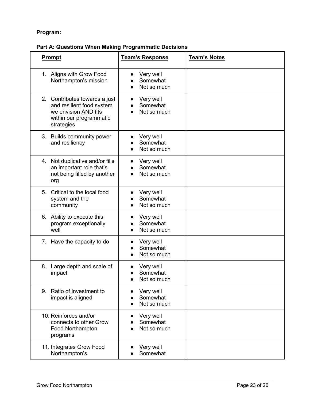### **Program:**

### **Part A: Questions When Making Programmatic Decisions**

| <b>Prompt</b>                                                                                                               | <b>Team's Response</b>               | <b>Team's Notes</b> |
|-----------------------------------------------------------------------------------------------------------------------------|--------------------------------------|---------------------|
| 1. Aligns with Grow Food<br>Northampton's mission                                                                           | Very well<br>Somewhat<br>Not so much |                     |
| 2. Contributes towards a just<br>and resilient food system<br>we envision AND fits<br>within our programmatic<br>strategies | Very well<br>Somewhat<br>Not so much |                     |
| 3. Builds community power<br>and resiliency                                                                                 | Very well<br>Somewhat<br>Not so much |                     |
| 4. Not duplicative and/or fills<br>an important role that's<br>not being filled by another<br>org                           | Very well<br>Somewhat<br>Not so much |                     |
| 5.<br>Critical to the local food<br>system and the<br>community                                                             | Very well<br>Somewhat<br>Not so much |                     |
| 6. Ability to execute this<br>program exceptionally<br>well                                                                 | Very well<br>Somewhat<br>Not so much |                     |
| 7. Have the capacity to do                                                                                                  | Very well<br>Somewhat<br>Not so much |                     |
| Large depth and scale of<br>8.<br>impact                                                                                    | Very well<br>Somewhat<br>Not so much |                     |
| Ratio of investment to<br>9.<br>impact is aligned                                                                           | Very well<br>Somewhat<br>Not so much |                     |
| 10. Reinforces and/or<br>connects to other Grow<br>Food Northampton<br>programs                                             | Very well<br>Somewhat<br>Not so much |                     |
| 11. Integrates Grow Food<br>Northampton's                                                                                   | Very well<br>Somewhat                |                     |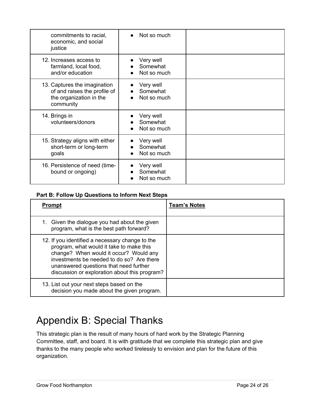| commitments to racial,<br>economic, and social<br>justice                                            | Not so much                          |  |
|------------------------------------------------------------------------------------------------------|--------------------------------------|--|
| 12. Increases access to<br>farmland, local food,<br>and/or education                                 | Very well<br>Somewhat<br>Not so much |  |
| 13. Captures the imagination<br>of and raises the profile of<br>the organization in the<br>community | Very well<br>Somewhat<br>Not so much |  |
| 14. Brings in<br>volunteers/donors                                                                   | Very well<br>Somewhat<br>Not so much |  |
| 15. Strategy aligns with either<br>short-term or long-term<br>goals                                  | Very well<br>Somewhat<br>Not so much |  |
| 16. Persistence of need (time-<br>bound or ongoing)                                                  | Very well<br>Somewhat<br>Not so much |  |

#### **Part B: Follow Up Questions to Inform Next Steps**

| <b>Prompt</b>                                                                                                                                                                                                                                                                 | <b>Team's Notes</b> |
|-------------------------------------------------------------------------------------------------------------------------------------------------------------------------------------------------------------------------------------------------------------------------------|---------------------|
| 1. Given the dialogue you had about the given<br>program, what is the best path forward?                                                                                                                                                                                      |                     |
| 12. If you identified a necessary change to the<br>program, what would it take to make this<br>change? When would it occur? Would any<br>investments be needed to do so? Are there<br>unanswered questions that need further<br>discussion or exploration about this program? |                     |
| 13. List out your next steps based on the<br>decision you made about the given program.                                                                                                                                                                                       |                     |

## Appendix B: Special Thanks

This strategic plan is the result of many hours of hard work by the Strategic Planning Committee, staff, and board. It is with gratitude that we complete this strategic plan and give thanks to the many people who worked tirelessly to envision and plan for the future of this organization.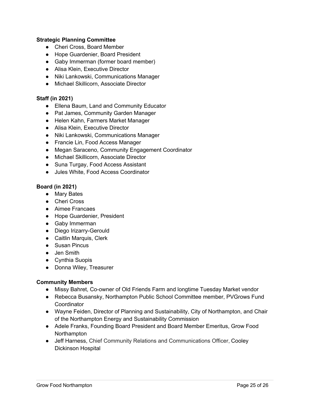#### **Strategic Planning Committee**

- Cheri Cross, Board Member
- Hope Guardenier, Board President
- Gaby Immerman (former board member)
- Alisa Klein, Executive Director
- Niki Lankowski, Communications Manager
- Michael Skillicorn, Associate Director

#### **Staff (in 2021)**

- Ellena Baum, Land and Community Educator
- Pat James, Community Garden Manager
- Helen Kahn, Farmers Market Manager
- Alisa Klein, Executive Director
- Niki Lankowski, Communications Manager
- Francie Lin, Food Access Manager
- Megan Saraceno, Community Engagement Coordinator
- Michael Skillicorn, Associate Director
- Suna Turgay, Food Access Assistant
- Jules White, Food Access Coordinator

#### **Board (in 2021)**

- Mary Bates
- Cheri Cross
- Aimee Francaes
- Hope Guardenier, President
- Gaby Immerman
- Diego Irizarry-Gerould
- Caitlin Marquis, Clerk
- Susan Pincus
- Jen Smith
- Cynthia Suopis
- Donna Wiley, Treasurer

#### **Community Members**

- Missy Bahret, Co-owner of Old Friends Farm and longtime Tuesday Market vendor
- Rebecca Busansky, Northampton Public School Committee member, PVGrows Fund **Coordinator**
- Wayne Feiden, Director of Planning and Sustainability, City of Northampton, and Chair of the Northampton Energy and Sustainability Commission
- Adele Franks, Founding Board President and Board Member Emeritus, Grow Food **Northampton**
- Jeff Harness, Chief Community Relations and Communications Officer, Cooley Dickinson Hospital